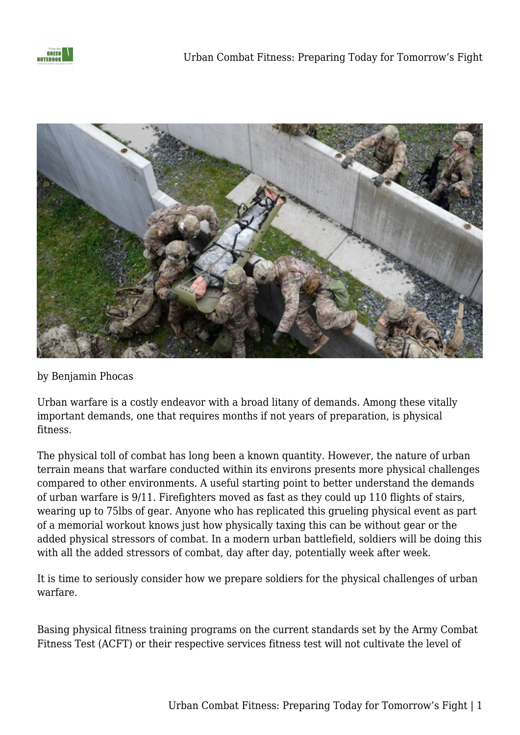



## by Benjamin Phocas

Urban warfare is a costly endeavor with a broad litany of demands. Among these vitally important demands, one that requires months if not years of preparation, is physical fitness.

The physical toll of combat has long been a known quantity. However, the nature of urban terrain means that warfare conducted within its environs presents more physical challenges compared to other environments. A useful starting point to better understand the demands of urban warfare is 9/11. Firefighters moved as fast as they could up 110 flights of stairs, wearing up to 75lbs of gear. Anyone who has replicated this grueling physical event as part of a memorial workout knows just how physically taxing this can be without gear or the added physical stressors of combat. In a modern urban battlefield, soldiers will be doing this with all the added stressors of combat, day after day, potentially week after week.

It is time to seriously consider how we prepare soldiers for the physical challenges of urban warfare.

Basing physical fitness training programs on the current standards set by the Army Combat Fitness Test (ACFT) or their respective services fitness test will not cultivate the level of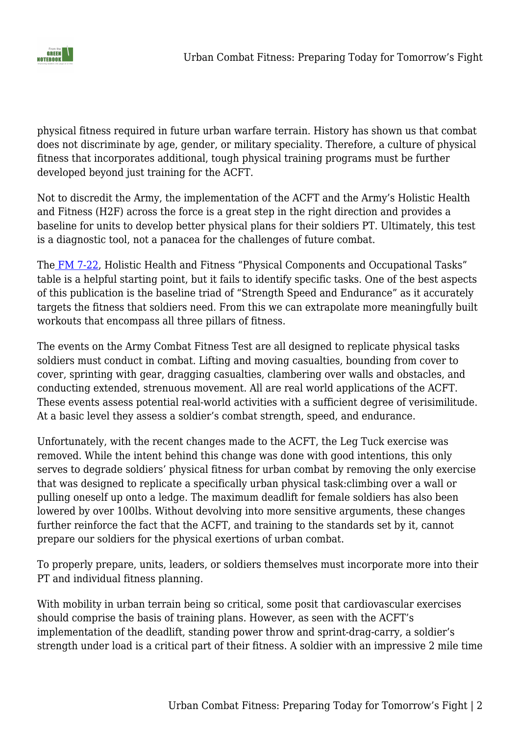

physical fitness required in future urban warfare terrain. History has shown us that combat does not discriminate by age, gender, or military speciality. Therefore, a culture of physical fitness that incorporates additional, tough physical training programs must be further developed beyond just training for the ACFT.

Not to discredit the Army, the implementation of the ACFT and the Army's Holistic Health and Fitness (H2F) across the force is a great step in the right direction and provides a baseline for units to develop better physical plans for their soldiers PT. Ultimately, this test is a diagnostic tool, not a panacea for the challenges of future combat.

Th[e](https://armypubs.army.mil/epubs/DR_pubs/DR_a/ARN30964-FM_7-22-001-WEB-4.pdf) [FM 7-22,](https://armypubs.army.mil/epubs/DR_pubs/DR_a/ARN30964-FM_7-22-001-WEB-4.pdf) Holistic Health and Fitness "Physical Components and Occupational Tasks" table is a helpful starting point, but it fails to identify specific tasks. One of the best aspects of this publication is the baseline triad of "Strength Speed and Endurance" as it accurately targets the fitness that soldiers need. From this we can extrapolate more meaningfully built workouts that encompass all three pillars of fitness.

The events on the Army Combat Fitness Test are all designed to replicate physical tasks soldiers must conduct in combat. Lifting and moving casualties, bounding from cover to cover, sprinting with gear, dragging casualties, clambering over walls and obstacles, and conducting extended, strenuous movement. All are real world applications of the ACFT. These events assess potential real-world activities with a sufficient degree of verisimilitude. At a basic level they assess a soldier's combat strength, speed, and endurance.

Unfortunately, with the recent changes made to the ACFT, the Leg Tuck exercise was removed. While the intent behind this change was done with good intentions, this only serves to degrade soldiers' physical fitness for urban combat by removing the only exercise that was designed to replicate a specifically urban physical task:climbing over a wall or pulling oneself up onto a ledge. The maximum deadlift for female soldiers has also been lowered by over 100lbs. Without devolving into more sensitive arguments, these changes further reinforce the fact that the ACFT, and training to the standards set by it, cannot prepare our soldiers for the physical exertions of urban combat.

To properly prepare, units, leaders, or soldiers themselves must incorporate more into their PT and individual fitness planning.

With mobility in urban terrain being so critical, some posit that cardiovascular exercises should comprise the basis of training plans. However, as seen with the ACFT's implementation of the deadlift, standing power throw and sprint-drag-carry, a soldier's strength under load is a critical part of their fitness. A soldier with an impressive 2 mile time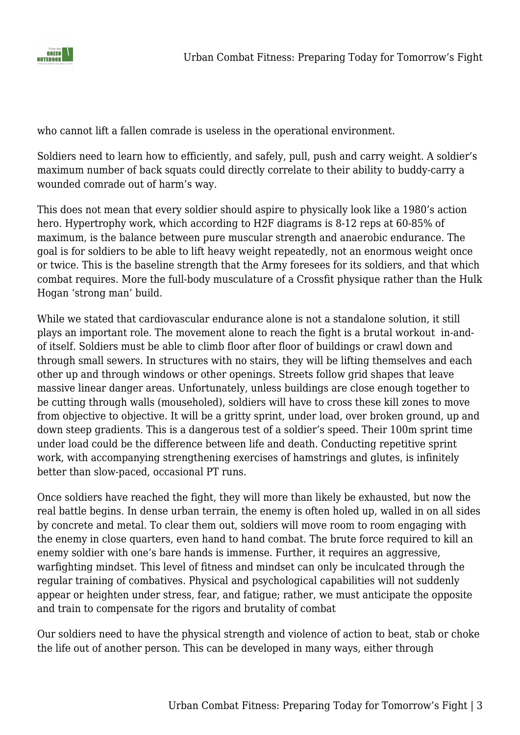

who cannot lift a fallen comrade is useless in the operational environment.

Soldiers need to learn how to efficiently, and safely, pull, push and carry weight. A soldier's maximum number of back squats could directly correlate to their ability to buddy-carry a wounded comrade out of harm's way.

This does not mean that every soldier should aspire to physically look like a 1980's action hero. Hypertrophy work, which according to H2F diagrams is 8-12 reps at 60-85% of maximum, is the balance between pure muscular strength and anaerobic endurance. The goal is for soldiers to be able to lift heavy weight repeatedly, not an enormous weight once or twice. This is the baseline strength that the Army foresees for its soldiers, and that which combat requires. More the full-body musculature of a Crossfit physique rather than the Hulk Hogan 'strong man' build.

While we stated that cardiovascular endurance alone is not a standalone solution, it still plays an important role. The movement alone to reach the fight is a brutal workout in-andof itself. Soldiers must be able to climb floor after floor of buildings or crawl down and through small sewers. In structures with no stairs, they will be lifting themselves and each other up and through windows or other openings. Streets follow grid shapes that leave massive linear danger areas. Unfortunately, unless buildings are close enough together to be cutting through walls (mouseholed), soldiers will have to cross these kill zones to move from objective to objective. It will be a gritty sprint, under load, over broken ground, up and down steep gradients. This is a dangerous test of a soldier's speed. Their 100m sprint time under load could be the difference between life and death. Conducting repetitive sprint work, with accompanying strengthening exercises of hamstrings and glutes, is infinitely better than slow-paced, occasional PT runs.

Once soldiers have reached the fight, they will more than likely be exhausted, but now the real battle begins. In dense urban terrain, the enemy is often holed up, walled in on all sides by concrete and metal. To clear them out, soldiers will move room to room engaging with the enemy in close quarters, even hand to hand combat. The brute force required to kill an enemy soldier with one's bare hands is immense. Further, it requires an aggressive, warfighting mindset. This level of fitness and mindset can only be inculcated through the regular training of combatives. Physical and psychological capabilities will not suddenly appear or heighten under stress, fear, and fatigue; rather, we must anticipate the opposite and train to compensate for the rigors and brutality of combat

Our soldiers need to have the physical strength and violence of action to beat, stab or choke the life out of another person. This can be developed in many ways, either through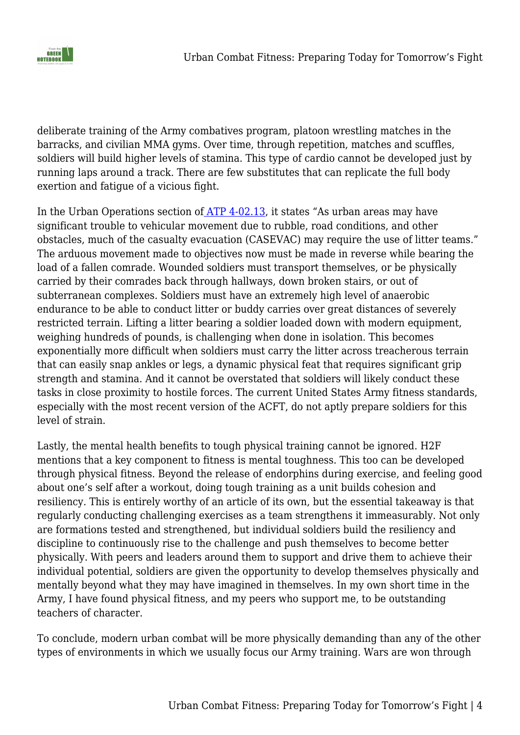

deliberate training of the Army combatives program, platoon wrestling matches in the barracks, and civilian MMA gyms. Over time, through repetition, matches and scuffles, soldiers will build higher levels of stamina. This type of cardio cannot be developed just by running laps around a track. There are few substitutes that can replicate the full body exertion and fatigue of a vicious fight.

In the Urban Operations section o[f](https://armypubs.army.mil/epubs/DR_pubs/DR_a/ARN32888-ATP_4-02.13-000-WEB-1.pdf) [ATP 4-02.13,](https://armypubs.army.mil/epubs/DR_pubs/DR_a/ARN32888-ATP_4-02.13-000-WEB-1.pdf) it states "As urban areas may have significant trouble to vehicular movement due to rubble, road conditions, and other obstacles, much of the casualty evacuation (CASEVAC) may require the use of litter teams." The arduous movement made to objectives now must be made in reverse while bearing the load of a fallen comrade. Wounded soldiers must transport themselves, or be physically carried by their comrades back through hallways, down broken stairs, or out of subterranean complexes. Soldiers must have an extremely high level of anaerobic endurance to be able to conduct litter or buddy carries over great distances of severely restricted terrain. Lifting a litter bearing a soldier loaded down with modern equipment, weighing hundreds of pounds, is challenging when done in isolation. This becomes exponentially more difficult when soldiers must carry the litter across treacherous terrain that can easily snap ankles or legs, a dynamic physical feat that requires significant grip strength and stamina. And it cannot be overstated that soldiers will likely conduct these tasks in close proximity to hostile forces. The current United States Army fitness standards, especially with the most recent version of the ACFT, do not aptly prepare soldiers for this level of strain.

Lastly, the mental health benefits to tough physical training cannot be ignored. H2F mentions that a key component to fitness is mental toughness. This too can be developed through physical fitness. Beyond the release of endorphins during exercise, and feeling good about one's self after a workout, doing tough training as a unit builds cohesion and resiliency. This is entirely worthy of an article of its own, but the essential takeaway is that regularly conducting challenging exercises as a team strengthens it immeasurably. Not only are formations tested and strengthened, but individual soldiers build the resiliency and discipline to continuously rise to the challenge and push themselves to become better physically. With peers and leaders around them to support and drive them to achieve their individual potential, soldiers are given the opportunity to develop themselves physically and mentally beyond what they may have imagined in themselves. In my own short time in the Army, I have found physical fitness, and my peers who support me, to be outstanding teachers of character.

To conclude, modern urban combat will be more physically demanding than any of the other types of environments in which we usually focus our Army training. Wars are won through